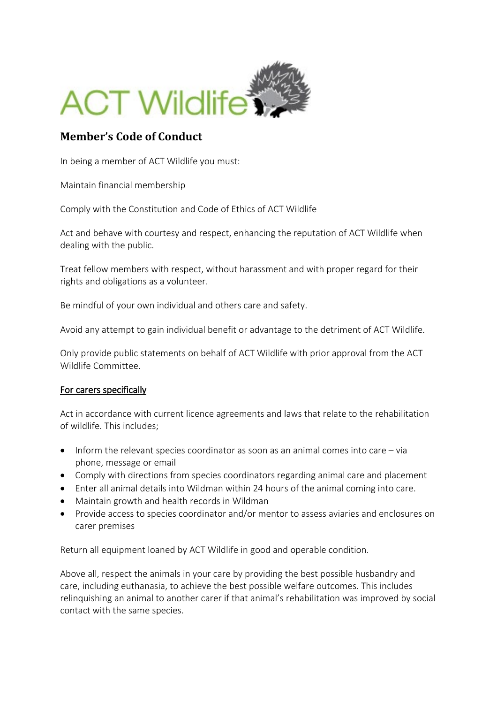

## **Member's Code of Conduct**

In being a member of ACT Wildlife you must:

Maintain financial membership

Comply with the Constitution and Code of Ethics of ACT Wildlife

Act and behave with courtesy and respect, enhancing the reputation of ACT Wildlife when dealing with the public.

Treat fellow members with respect, without harassment and with proper regard for their rights and obligations as a volunteer.

Be mindful of your own individual and others care and safety.

Avoid any attempt to gain individual benefit or advantage to the detriment of ACT Wildlife.

Only provide public statements on behalf of ACT Wildlife with prior approval from the ACT Wildlife Committee.

## For carers specifically

Act in accordance with current licence agreements and laws that relate to the rehabilitation of wildlife. This includes;

- Inform the relevant species coordinator as soon as an animal comes into care via phone, message or email
- Comply with directions from species coordinators regarding animal care and placement
- Enter all animal details into Wildman within 24 hours of the animal coming into care.
- Maintain growth and health records in Wildman
- Provide access to species coordinator and/or mentor to assess aviaries and enclosures on carer premises

Return all equipment loaned by ACT Wildlife in good and operable condition.

Above all, respect the animals in your care by providing the best possible husbandry and care, including euthanasia, to achieve the best possible welfare outcomes. This includes relinquishing an animal to another carer if that animal's rehabilitation was improved by social contact with the same species.